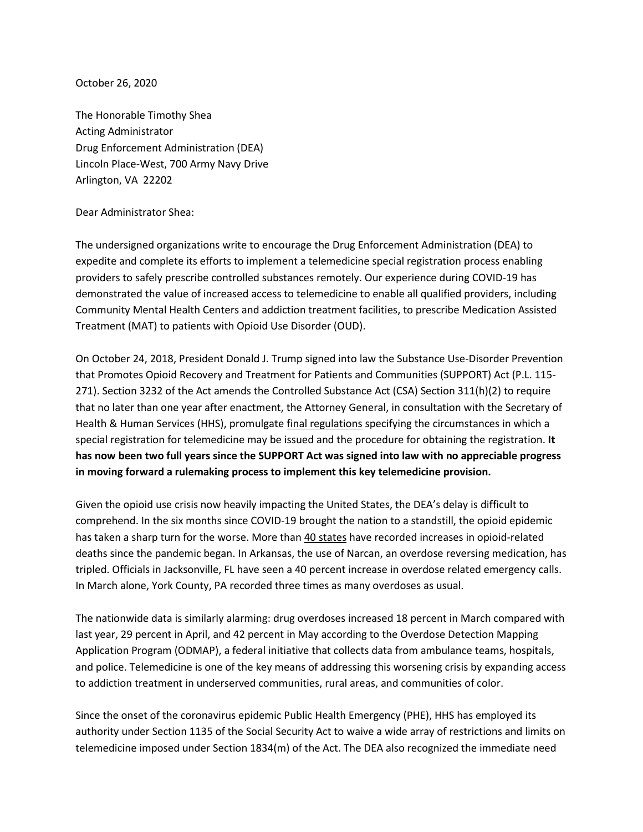October 26, 2020

The Honorable Timothy Shea Acting Administrator Drug Enforcement Administration (DEA) Lincoln Place-West, 700 Army Navy Drive Arlington, VA 22202

## Dear Administrator Shea:

The undersigned organizations write to encourage the Drug Enforcement Administration (DEA) to expedite and complete its efforts to implement a telemedicine special registration process enabling providers to safely prescribe controlled substances remotely. Our experience during COVID-19 has demonstrated the value of increased access to telemedicine to enable all qualified providers, including Community Mental Health Centers and addiction treatment facilities, to prescribe Medication Assisted Treatment (MAT) to patients with Opioid Use Disorder (OUD).

On October 24, 2018, President Donald J. Trump signed into law the Substance Use-Disorder Prevention that Promotes Opioid Recovery and Treatment for Patients and Communities (SUPPORT) Act (P.L. 115- 271). Section 3232 of the Act amends the Controlled Substance Act (CSA) Section 311(h)(2) to require that no later than one year after enactment, the Attorney General, in consultation with the Secretary of Health & Human Services (HHS), promulgate [final regulations](https://www.reginfo.gov/public/do/eAgendaViewRule?pubId=201910&RIN=1117-AB40) specifying the circumstances in which a special registration for telemedicine may be issued and the procedure for obtaining the registration. **It has now been two full years since the SUPPORT Act was signed into law with no appreciable progress in moving forward a rulemaking process to implement this key telemedicine provision.** 

Given the opioid use crisis now heavily impacting the United States, the DEA's delay is difficult to comprehend. In the six months since COVID-19 brought the nation to a standstill, the opioid epidemic has taken a sharp turn for the worse. More tha[n 40 states](https://www.ama-assn.org/system/files/2020-10/issue-brief-increases-in-opioid-related-overdose.pdf) have recorded increases in opioid-related deaths since the pandemic began. In Arkansas, the use of Narcan, an overdose reversing medication, has tripled. Officials in Jacksonville, FL have seen a 40 percent increase in overdose related emergency calls. In March alone, York County, PA recorded three times as many overdoses as usual.

The nationwide data is similarly alarming: drug overdoses increased 18 percent in March compared with last year, 29 percent in April, and 42 percent in May according to the Overdose Detection Mapping Application Program (ODMAP), a federal initiative that collects data from ambulance teams, hospitals, and police. Telemedicine is one of the key means of addressing this worsening crisis by expanding access to addiction treatment in underserved communities, rural areas, and communities of color.

Since the onset of the coronavirus epidemic Public Health Emergency (PHE), HHS has employed its authority under Section 1135 of the Social Security Act to waive a wide array of restrictions and limits on telemedicine imposed under Section 1834(m) of the Act. The DEA also recognized the immediate need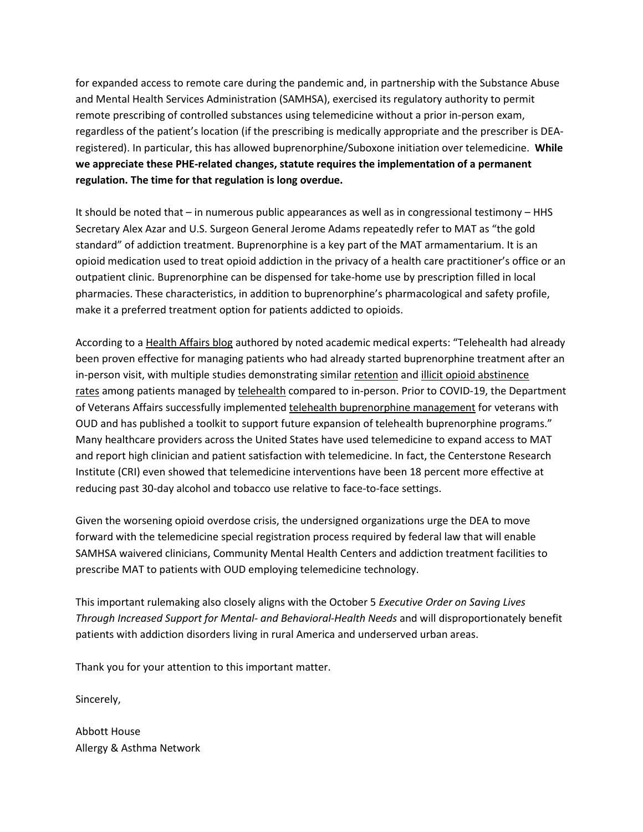for expanded access to remote care during the pandemic and, in partnership with the Substance Abuse and Mental Health Services Administration (SAMHSA), exercised its regulatory authority to permit remote prescribing of controlled substances using telemedicine without a prior in-person exam, regardless of the patient's location (if the prescribing is medically appropriate and the prescriber is DEAregistered). In particular, this has allowed buprenorphine/Suboxone initiation over telemedicine. **While we appreciate these PHE-related changes, statute requires the implementation of a permanent regulation. The time for that regulation is long overdue.** 

It should be noted that – in numerous public appearances as well as in congressional testimony – HHS Secretary Alex Azar and U.S. Surgeon General Jerome Adams repeatedly refer to MAT as "the gold standard" of addiction treatment. Buprenorphine is a key part of the MAT armamentarium. It is an opioid medication used to treat opioid addiction in the privacy of a health care practitioner's office or an outpatient clinic. Buprenorphine can be dispensed for take-home use by prescription filled in local pharmacies. These characteristics, in addition to buprenorphine's pharmacological and safety profile, make it a preferred treatment option for patients addicted to opioids.

According to a [Health Affairs blog](https://www.healthaffairs.org/do/10.1377/hblog20200910.498716/full/) authored by noted academic medical experts: "Telehealth had already been proven effective for managing patients who had already started buprenorphine treatment after an in-person visit, with multiple studies demonstrating similar [retention](https://www.sciencedirect.com/science/article/pii/S0376871617302077?via%3Dihub) and [illicit opioid abstinence](https://www.ncbi.nlm.nih.gov/pmc/articles/PMC5354971/)  [rates](https://www.ncbi.nlm.nih.gov/pmc/articles/PMC5354971/) among patients managed by [telehealth](https://www.sciencedirect.com/science/article/pii/S0376871617302077?via%3Dihub) compared to in-person. Prior to COVID-19, the Department of Veterans Affairs successfully implemented [telehealth buprenorphine management](https://www.queri.research.va.gov/visn_initiatives/telemedicine.cfm) for veterans with OUD and has published a toolkit to support future expansion of telehealth buprenorphine programs." Many healthcare providers across the United States have used telemedicine to expand access to MAT and report high clinician and patient satisfaction with telemedicine. In fact, the Centerstone Research Institute (CRI) even showed that telemedicine interventions have been 18 percent more effective at reducing past 30-day alcohol and tobacco use relative to face-to-face settings.

Given the worsening opioid overdose crisis, the undersigned organizations urge the DEA to move forward with the telemedicine special registration process required by federal law that will enable SAMHSA waivered clinicians, Community Mental Health Centers and addiction treatment facilities to prescribe MAT to patients with OUD employing telemedicine technology.

This important rulemaking also closely aligns with the October 5 *Executive Order on Saving Lives Through Increased Support for Mental- and Behavioral-Health Needs* and will disproportionately benefit patients with addiction disorders living in rural America and underserved urban areas.

Thank you for your attention to this important matter.

Sincerely,

Abbott House Allergy & Asthma Network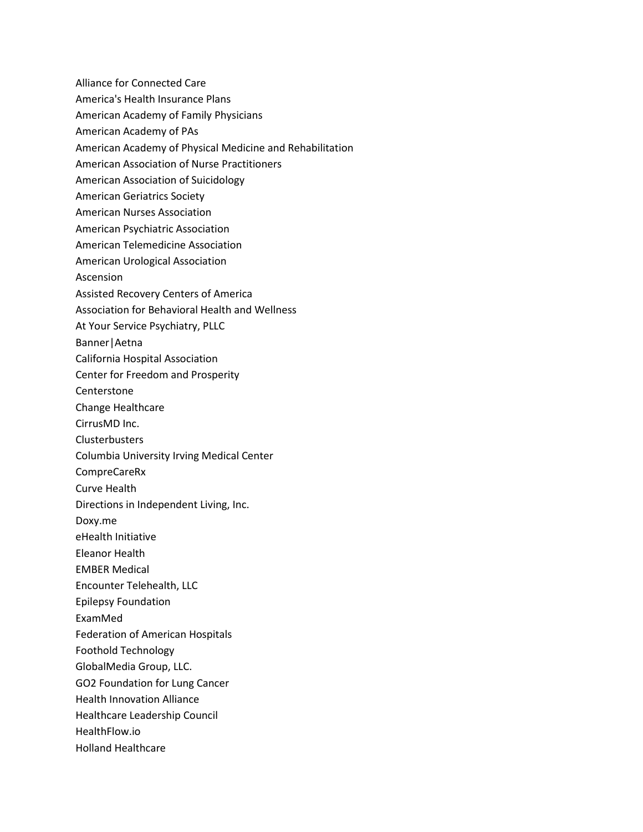Alliance for Connected Care America's Health Insurance Plans American Academy of Family Physicians American Academy of PAs American Academy of Physical Medicine and Rehabilitation American Association of Nurse Practitioners American Association of Suicidology American Geriatrics Society American Nurses Association American Psychiatric Association American Telemedicine Association American Urological Association Ascension Assisted Recovery Centers of America Association for Behavioral Health and Wellness At Your Service Psychiatry, PLLC Banner|Aetna California Hospital Association Center for Freedom and Prosperity Centerstone Change Healthcare CirrusMD Inc. **Clusterbusters** Columbia University Irving Medical Center CompreCareRx Curve Health Directions in Independent Living, Inc. Doxy.me eHealth Initiative Eleanor Health EMBER Medical Encounter Telehealth, LLC Epilepsy Foundation ExamMed Federation of American Hospitals Foothold Technology GlobalMedia Group, LLC. GO2 Foundation for Lung Cancer Health Innovation Alliance Healthcare Leadership Council HealthFlow.io Holland Healthcare